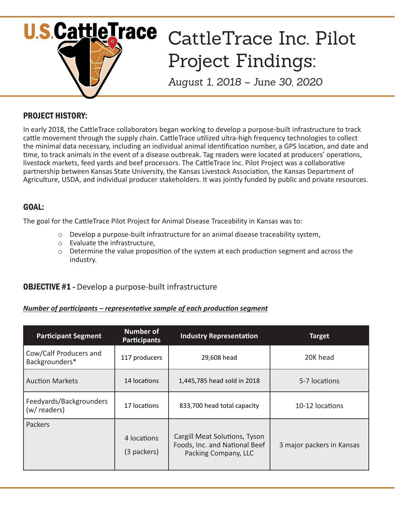

# PROJECT HISTORY:

In early 2018, the CattleTrace collaborators began working to develop a purpose-built infrastructure to track cattle movement through the supply chain. CattleTrace utilized ultra-high frequency technologies to collect the minimal data necessary, including an individual animal identification number, a GPS location, and date and time, to track animals in the event of a disease outbreak. Tag readers were located at producers' operations, livestock markets, feed yards and beef processors. The CattleTrace Inc. Pilot Project was a collaborative partnership between Kansas State University, the Kansas Livestock Association, the Kansas Department of Agriculture, USDA, and individual producer stakeholders. It was jointly funded by public and private resources.

# GOAL:

The goal for the CattleTrace Pilot Project for Animal Disease Traceability in Kansas was to:

- $\circ$  Develop a purpose-built infrastructure for an animal disease traceability system,
- o Evaluate the infrastructure,
- o Determine the value proposition of the system at each production segment and across the industry.

## OBJECTIVE #1 **-** Develop a purpose-built infrastructure

#### *Number of participants – representative sample of each production segment*

| <b>Participant Segment</b>               | <b>Number of</b><br><b>Participants</b> | <b>Industry Representation</b>                                                         | <b>Target</b>             |
|------------------------------------------|-----------------------------------------|----------------------------------------------------------------------------------------|---------------------------|
| Cow/Calf Producers and<br>Backgrounders* | 117 producers                           | 29,608 head                                                                            | 20K head                  |
| <b>Auction Markets</b>                   | 14 locations                            | 1,445,785 head sold in 2018                                                            | 5-7 locations             |
| Feedyards/Backgrounders<br>(w/ readers)  | 17 locations                            | 833,700 head total capacity                                                            | 10-12 locations           |
| Packers                                  | 4 locations<br>(3 packers)              | Cargill Meat Solutions, Tyson<br>Foods, Inc. and National Beef<br>Packing Company, LLC | 3 major packers in Kansas |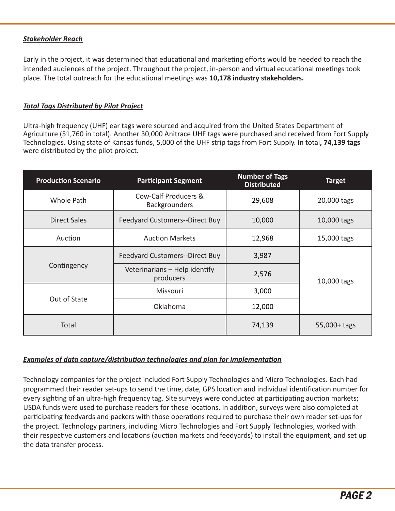### *Stakeholder Reach*

Early in the project, it was determined that educational and marketing efforts would be needed to reach the intended audiences of the project. Throughout the project, in-person and virtual educational meetings took place. The total outreach for the educational meetings was **10,178 industry stakeholders.**

#### *Total Tags Distributed by Pilot Project*

Ultra-high frequency (UHF) ear tags were sourced and acquired from the United States Department of Agriculture (51,760 in total). Another 30,000 Anitrace UHF tags were purchased and received from Fort Supply Technologies. Using state of Kansas funds, 5,000 of the UHF strip tags from Fort Supply. In total**, 74,139 tags** were distributed by the pilot project.

| <b>Production Scenario</b> | <b>Participant Segment</b>                 | <b>Number of Tags</b><br><b>Distributed</b> | <b>Target</b> |
|----------------------------|--------------------------------------------|---------------------------------------------|---------------|
| Whole Path                 | Cow-Calf Producers &<br>Backgrounders      | 29,608                                      | 20,000 tags   |
| <b>Direct Sales</b>        | <b>Feedyard Customers--Direct Buy</b>      | 10,000                                      | 10,000 tags   |
| Auction                    | <b>Auction Markets</b>                     | 12,968                                      | 15,000 tags   |
| Contingency                | <b>Feedyard Customers--Direct Buy</b>      | 3,987                                       |               |
|                            | Veterinarians - Help identify<br>producers | 2,576                                       | 10,000 tags   |
| Out of State               | Missouri                                   | 3,000                                       |               |
|                            | Oklahoma                                   | 12,000                                      |               |
| Total                      |                                            | 74,139                                      | 55,000+ tags  |

### *Examples of data capture/distribution technologies and plan for implementation*

Technology companies for the project included Fort Supply Technologies and Micro Technologies. Each had programmed their reader set-ups to send the time, date, GPS location and individual identification number for every sighting of an ultra-high frequency tag. Site surveys were conducted at participating auction markets; USDA funds were used to purchase readers for these locations. In addition, surveys were also completed at participating feedyards and packers with those operations required to purchase their own reader set-ups for the project. Technology partners, including Micro Technologies and Fort Supply Technologies, worked with their respective customers and locations (auction markets and feedyards) to install the equipment, and set up the data transfer process.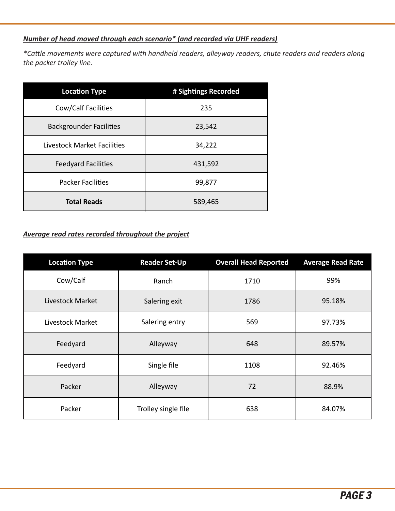# *Number of head moved through each scenario\* (and recorded via UHF readers)*

*\*Cattle movements were captured with handheld readers, alleyway readers, chute readers and readers along the packer trolley line.*

| <b>Location Type</b>           | # Sightings Recorded |
|--------------------------------|----------------------|
| Cow/Calf Facilities            | 235                  |
| <b>Backgrounder Facilities</b> | 23,542               |
| Livestock Market Facilities    | 34,222               |
| <b>Feedyard Facilities</b>     | 431,592              |
| <b>Packer Facilities</b>       | 99,877               |
| <b>Total Reads</b>             | 589,465              |

## *Average read rates recorded throughout the project*

| <b>Location Type</b> | <b>Reader Set-Up</b> | <b>Overall Head Reported</b> | <b>Average Read Rate</b> |
|----------------------|----------------------|------------------------------|--------------------------|
| Cow/Calf             | Ranch                | 1710                         | 99%                      |
| Livestock Market     | Salering exit        | 1786                         | 95.18%                   |
| Livestock Market     | Salering entry       | 569                          | 97.73%                   |
| Feedyard             | Alleyway             | 648                          | 89.57%                   |
| Feedyard             | Single file          | 1108                         | 92.46%                   |
| Packer               | Alleyway             | 72                           | 88.9%                    |
| Packer               | Trolley single file  | 638                          | 84.07%                   |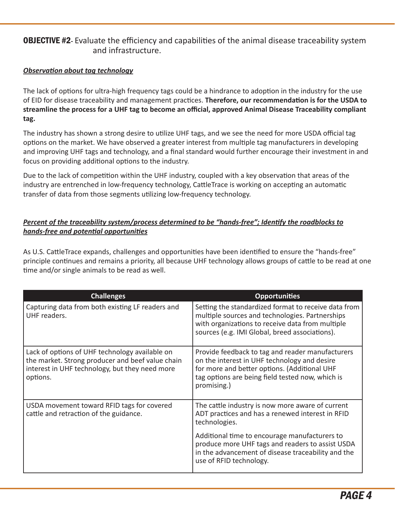## OBJECTIVE #2**-** Evaluate the efficiency and capabilities of the animal disease traceability system and infrastructure.

### *Observation about tag technology*

The lack of options for ultra-high frequency tags could be a hindrance to adoption in the industry for the use of EID for disease traceability and management practices. **Therefore, our recommendation is for the USDA to streamline the process for a UHF tag to become an official, approved Animal Disease Traceability compliant tag.**

The industry has shown a strong desire to utilize UHF tags, and we see the need for more USDA official tag options on the market. We have observed a greater interest from multiple tag manufacturers in developing and improving UHF tags and technology, and a final standard would further encourage their investment in and focus on providing additional options to the industry.

Due to the lack of competition within the UHF industry, coupled with a key observation that areas of the industry are entrenched in low-frequency technology, CattleTrace is working on accepting an automatic transfer of data from those segments utilizing low-frequency technology.

### *Percent of the traceability system/process determined to be "hands-free"; Identify the roadblocks to hands-free and potential opportunities*

As U.S. CattleTrace expands, challenges and opportunities have been identified to ensure the "hands-free" principle continues and remains a priority, all because UHF technology allows groups of cattle to be read at one time and/or single animals to be read as well.

| <b>Challenges</b>                                                                                                                                                | <b>Opportunities</b>                                                                                                                                                                                                |
|------------------------------------------------------------------------------------------------------------------------------------------------------------------|---------------------------------------------------------------------------------------------------------------------------------------------------------------------------------------------------------------------|
| Capturing data from both existing LF readers and<br>UHF readers.                                                                                                 | Setting the standardized format to receive data from<br>multiple sources and technologies. Partnerships<br>with organizations to receive data from multiple<br>sources (e.g. IMI Global, breed associations).       |
| Lack of options of UHF technology available on<br>the market. Strong producer and beef value chain<br>interest in UHF technology, but they need more<br>options. | Provide feedback to tag and reader manufacturers<br>on the interest in UHF technology and desire<br>for more and better options. (Additional UHF<br>tag options are being field tested now, which is<br>promising.) |
| USDA movement toward RFID tags for covered<br>cattle and retraction of the guidance.                                                                             | The cattle industry is now more aware of current<br>ADT practices and has a renewed interest in RFID<br>technologies.                                                                                               |
|                                                                                                                                                                  | Additional time to encourage manufacturers to<br>produce more UHF tags and readers to assist USDA<br>in the advancement of disease traceability and the<br>use of RFID technology.                                  |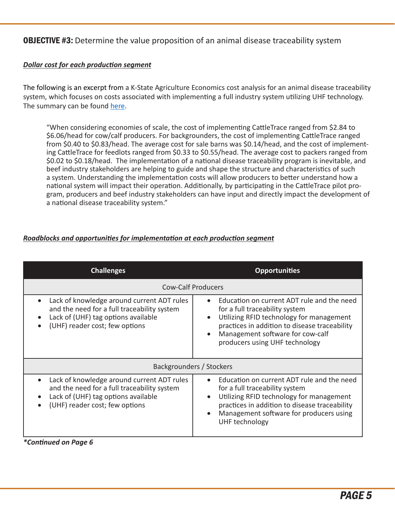**OBJECTIVE #3:** Determine the value proposition of an animal disease traceability system

### *Dollar cost for each production segment*

The following is an excerpt from a K-State Agriculture Economics cost analysis for an animal disease traceability system, which focuses on costs associated with implementing a full industry system utilizing UHF technology. The summary can be found here.

"When considering economies of scale, the cost of implementing CattleTrace ranged from \$2.84 to \$6.06/head for cow/calf producers. For backgrounders, the cost of implementing CattleTrace ranged from \$0.40 to \$0.83/head. The average cost for sale barns was \$0.14/head, and the cost of implementing CattleTrace for feedlots ranged from \$0.33 to \$0.55/head. The average cost to packers ranged from \$0.02 to \$0.18/head. The implementation of a national disease traceability program is inevitable, and beef industry stakeholders are helping to guide and shape the structure and characteristics of such a system. Understanding the implementation costs will allow producers to better understand how a national system will impact their operation. Additionally, by participating in the CattleTrace pilot program, producers and beef industry stakeholders can have input and directly impact the development of a national disease traceability system."

## *Roadblocks and opportunities for implementation at each production segment*

| <b>Challenges</b>                                                                                                                                                                                         | <b>Opportunities</b>                                                                                                                                                                                                                                         |  |
|-----------------------------------------------------------------------------------------------------------------------------------------------------------------------------------------------------------|--------------------------------------------------------------------------------------------------------------------------------------------------------------------------------------------------------------------------------------------------------------|--|
| <b>Cow-Calf Producers</b>                                                                                                                                                                                 |                                                                                                                                                                                                                                                              |  |
| Lack of knowledge around current ADT rules<br>$\bullet$<br>and the need for a full traceability system<br>Lack of (UHF) tag options available<br>$\bullet$<br>(UHF) reader cost; few options<br>$\bullet$ | Education on current ADT rule and the need<br>$\bullet$<br>for a full traceability system<br>Utilizing RFID technology for management<br>practices in addition to disease traceability<br>Management software for cow-calf<br>producers using UHF technology |  |
| Backgrounders / Stockers                                                                                                                                                                                  |                                                                                                                                                                                                                                                              |  |
| Lack of knowledge around current ADT rules<br>$\bullet$<br>and the need for a full traceability system<br>Lack of (UHF) tag options available<br>$\bullet$<br>(UHF) reader cost; few options<br>$\bullet$ | Education on current ADT rule and the need<br>$\bullet$<br>for a full traceability system<br>Utilizing RFID technology for management<br>practices in addition to disease traceability<br>Management software for producers using<br>UHF technology          |  |

*\*Continued on Page 6*